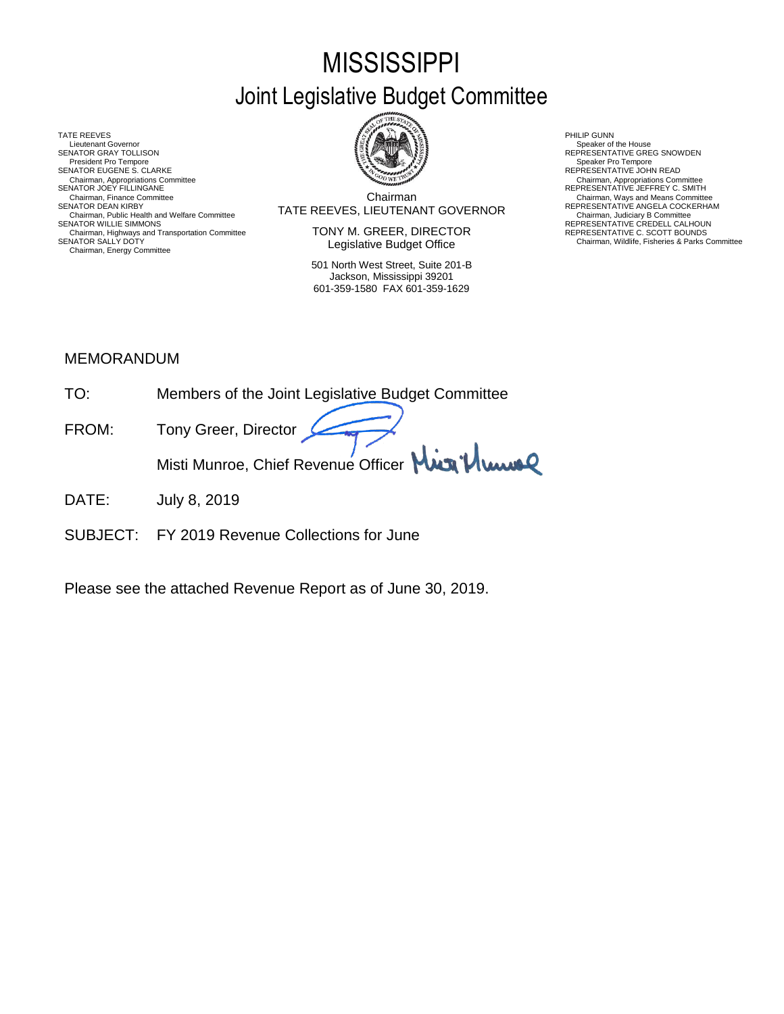# **MISSISSIPPI** Joint Legislative Budget Committee

TATE REEVES THE REDUCT THE REEVES AND RELATED AS A RELATED MALL OF LATER REEVES AND RELATED AT A RELATED MALL OF LATER SUMMARY AND RELATED AT A RELATED AND RELATED AT A RELATED MALL OF LATER SUMMARY AND RELATED AT A RELAT Lieutenant Governor<br>SENATOR GRAY TOLLISON President Pro Tempore SENATOR EUGENE S. CLARKE<br>Chairman, Appropriations Committee<br>SENATOR JOEY FILLINGANE Chairman, Appropriations Committee Chairman, Appropriations Committee<br>SENATOR JOEY FILLINGANE REPRESENTATIVE JEFFREY C. SMITH Chairman, Public Health and Welfare Committee<br>SENATOR WILLIE SIMMONS Chairman, Highways and Transportation Committee<br>SENATOR SALLY DOTY Chairman, Energy Committee



Chairman TATE REEVES, LIEUTENANT GOVERNOR SENATOR DEAN KIRBY REPRESENTATIVE ANGELA COCKERHAM Chairman, Finance Committee **Chairman**<br>
Chairman Chairman, Ways and Means Committee<br>
TATE REEVES I IEI ITENANT GOVERNOR REPRESENTATIVE ANGELA COCKERHAM

> TONY M. GREER, DIRECTOR Legislative Budget Office

501 North West Street, Suite 201-B Jackson, Mississippi 39201 601-359-1580 FAX 601-359-1629

SENATOR SENATOR SPEAKER Of the House<br>
SPEAKER SENTATIVE GREG SNOWDEN<br>
Speaker Pro Tempore

Chairman, Judiciary B Committee<br>REPRESENTATIVE CREDELL CALHOUN

REPRESENTATIVE C. SCOTT BOUNDS<br>Chairman, Wildlife, Fisheries & Parks Committee

### MEMORANDUM

| TO <sup>.</sup> | Members of the Joint Legislative Budget Committee |
|-----------------|---------------------------------------------------|
| FROM:           | Tony Greer, Director                              |
|                 | Misti Munroe, Chief Revenue Officer Min Munroe    |

- DATE: July 8, 2019
- SUBJECT: FY 2019 Revenue Collections for June

Please see the attached Revenue Report as of June 30, 2019.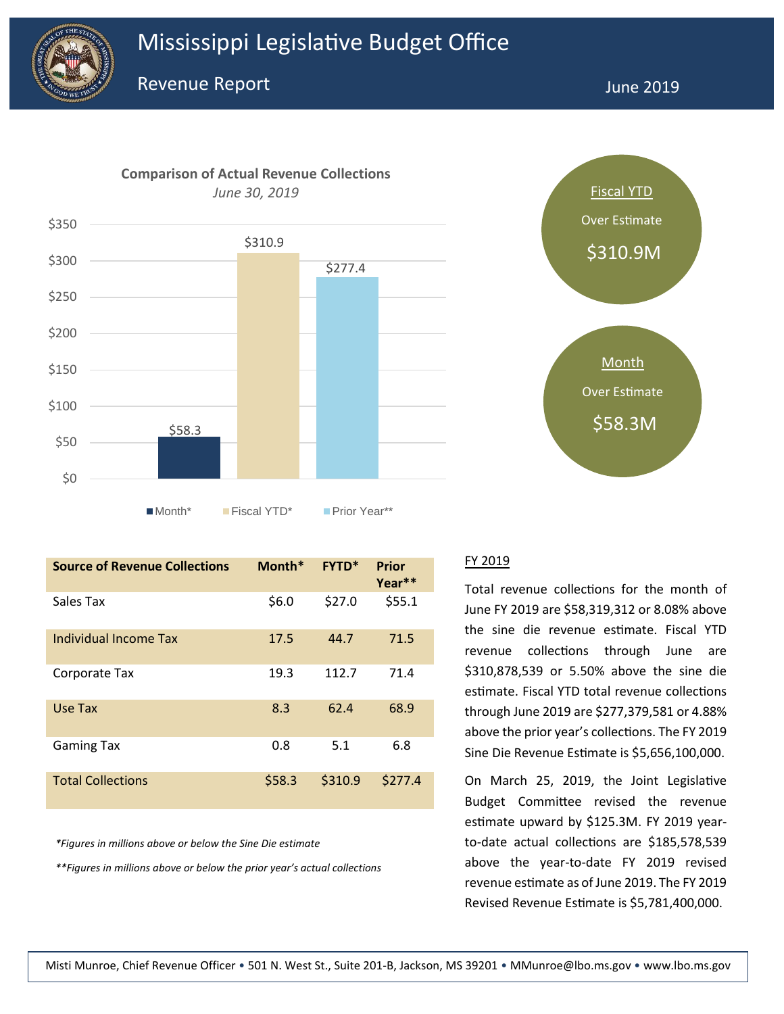



| <b>Source of Revenue Collections</b> | Month* | <b>FYTD*</b> | Prior<br>Year** |
|--------------------------------------|--------|--------------|-----------------|
| Sales Tax                            | \$6.0  | \$27.0       | \$55.1          |
| Individual Income Tax                | 17.5   | 44.7         | 71.5            |
| Corporate Tax                        | 19.3   | 112.7        | 71.4            |
| Use Tax                              | 8.3    | 62.4         | 68.9            |
| <b>Gaming Tax</b>                    | 0.8    | 5.1          | 6.8             |
| <b>Total Collections</b>             | \$58.3 | \$310.9      | \$277.4         |

*\*Figures in millions above or below the Sine Die estimate*

*\*\*Figures in millions above or below the prior year's actual collections*



#### FY 2019

Total revenue collections for the month of June FY 2019 are \$58,319,312 or 8.08% above the sine die revenue estimate. Fiscal YTD revenue collections through June are \$310,878,539 or 5.50% above the sine die estimate. Fiscal YTD total revenue collections through June 2019 are \$277,379,581 or 4.88% above the prior year's collections. The FY 2019 Sine Die Revenue Estimate is \$5,656,100,000.

On March 25, 2019, the Joint Legislative Budget Committee revised the revenue estimate upward by \$125.3M. FY 2019 yearto-date actual collections are \$185,578,539 above the year-to-date FY 2019 revised revenue estimate as of June 2019. The FY 2019 Revised Revenue Estimate is \$5,781,400,000.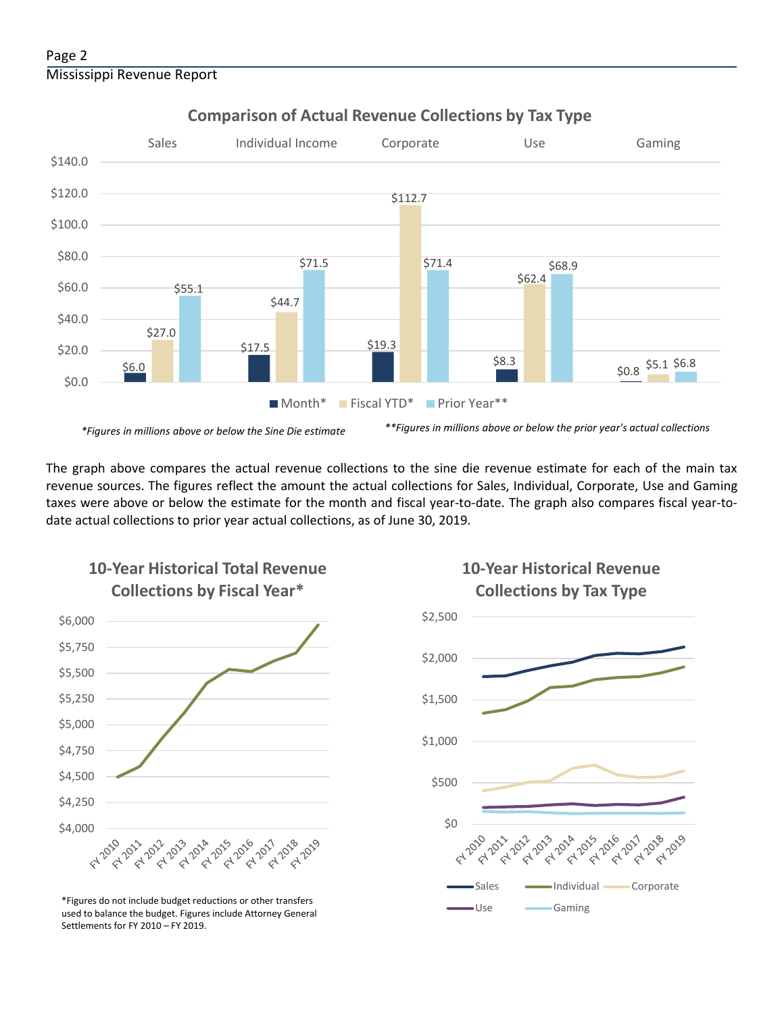#### Page 2 Mississippi Revenue Report



### **Comparison of Actual Revenue Collections by Tax Type**

The graph above compares the actual revenue collections to the sine die revenue estimate for each of the main tax revenue sources. The figures reflect the amount the actual collections for Sales, Individual, Corporate, Use and Gaming taxes were above or below the estimate for the month and fiscal year-to-date. The graph also compares fiscal year-todate actual collections to prior year actual collections, as of June 30, 2019.



**10-Year Historical Total Revenue** 

Use Gaming \*Figures do not include budget reductions or other transfers used to balance the budget. Figures include Attorney General Settlements for FY 2010 – FY 2019.

## **10-Year Historical Revenue Collections by Tax Type**

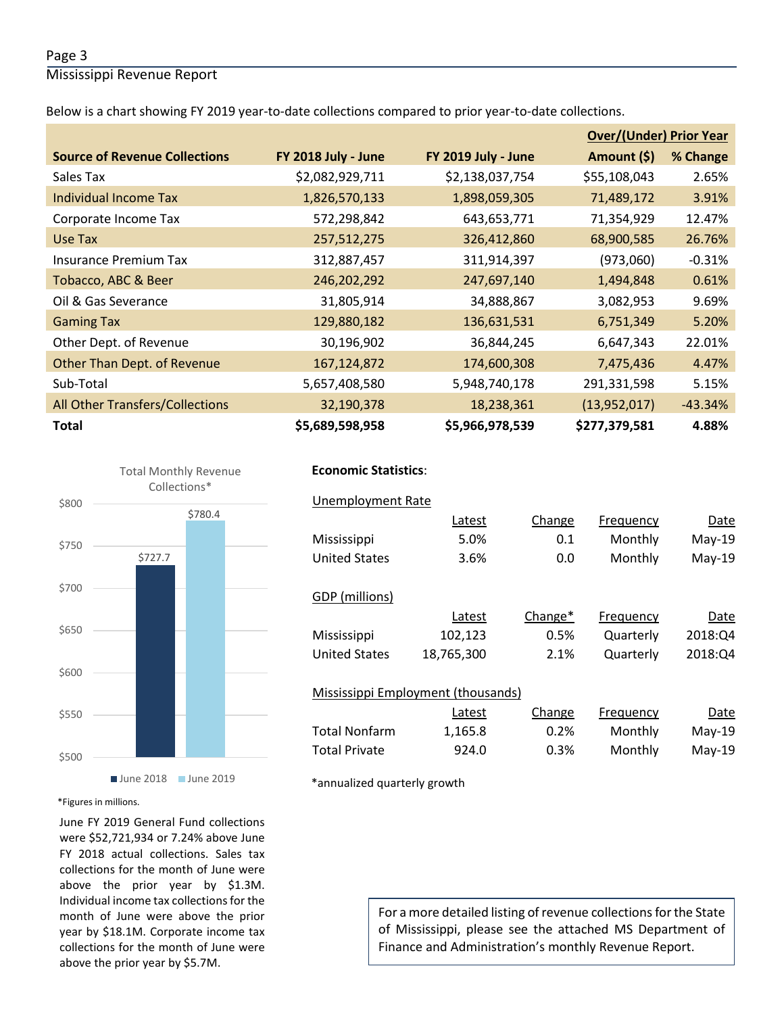#### Page 3

Mississippi Revenue Report

Below is a chart showing FY 2019 year-to-date collections compared to prior year-to-date collections.

|                                      |                     |                     | <b>Over/(Under) Prior Year</b> |           |
|--------------------------------------|---------------------|---------------------|--------------------------------|-----------|
| <b>Source of Revenue Collections</b> | FY 2018 July - June | FY 2019 July - June | Amount (\$)                    | % Change  |
| Sales Tax                            | \$2,082,929,711     | \$2,138,037,754     | \$55,108,043                   | 2.65%     |
| Individual Income Tax                | 1,826,570,133       | 1,898,059,305       | 71,489,172                     | 3.91%     |
| Corporate Income Tax                 | 572,298,842         | 643,653,771         | 71,354,929                     | 12.47%    |
| Use Tax                              | 257,512,275         | 326,412,860         | 68,900,585                     | 26.76%    |
| Insurance Premium Tax                | 312,887,457         | 311,914,397         | (973,060)                      | $-0.31%$  |
| Tobacco, ABC & Beer                  | 246,202,292         | 247,697,140         | 1,494,848                      | 0.61%     |
| Oil & Gas Severance                  | 31,805,914          | 34,888,867          | 3,082,953                      | 9.69%     |
| <b>Gaming Tax</b>                    | 129,880,182         | 136,631,531         | 6,751,349                      | 5.20%     |
| Other Dept. of Revenue               | 30,196,902          | 36,844,245          | 6,647,343                      | 22.01%    |
| Other Than Dept. of Revenue          | 167,124,872         | 174,600,308         | 7,475,436                      | 4.47%     |
| Sub-Total                            | 5,657,408,580       | 5,948,740,178       | 291,331,598                    | 5.15%     |
| All Other Transfers/Collections      | 32,190,378          | 18,238,361          | (13,952,017)                   | $-43.34%$ |
| <b>Total</b>                         | \$5,689,598,958     | \$5,966,978,539     | \$277,379,581                  | 4.88%     |



#### **Economic Statistics**:  **Economic Statistics**:

| <b>Unemployment Rate</b>                  |            |         |           |          |
|-------------------------------------------|------------|---------|-----------|----------|
|                                           | Latest     | Change  | Frequency | Date     |
| Mississippi                               | 5.0%       | 0.1     | Monthly   | $May-19$ |
| <b>United States</b>                      | 3.6%       | 0.0     | Monthly   | $May-19$ |
| GDP (millions)                            |            |         |           |          |
|                                           | Latest     | Change* | Frequency | Date     |
| Mississippi                               | 102,123    | 0.5%    | Quarterly | 2018:Q4  |
| <b>United States</b>                      | 18,765,300 | 2.1%    | Quarterly | 2018:Q4  |
| <b>Mississippi Employment (thousands)</b> |            |         |           |          |
|                                           | Latest     | Change  | Frequency | Date     |
| <b>Total Nonfarm</b>                      | 1,165.8    | 0.2%    | Monthly   | $May-19$ |
| <b>Total Private</b>                      | 924.0      | 0.3%    | Monthly   | $May-19$ |
|                                           |            |         |           |          |

\*annualized quarterly growth

\*Figures in millions.

June FY 2019 General Fund collections were \$52,721,934 or 7.24% above June FY 2018 actual collections. Sales tax collections for the month of June were above the prior year by \$1.3M. Individual income tax collections for the month of June were above the prior year by \$18.1M. Corporate income tax collections for the month of June were above the prior year by \$5.7M.

# For a more detailed listing of revenue collections for the State of Mississippi, please see the attached MS Department of Finance and Administration's monthly Revenue Report.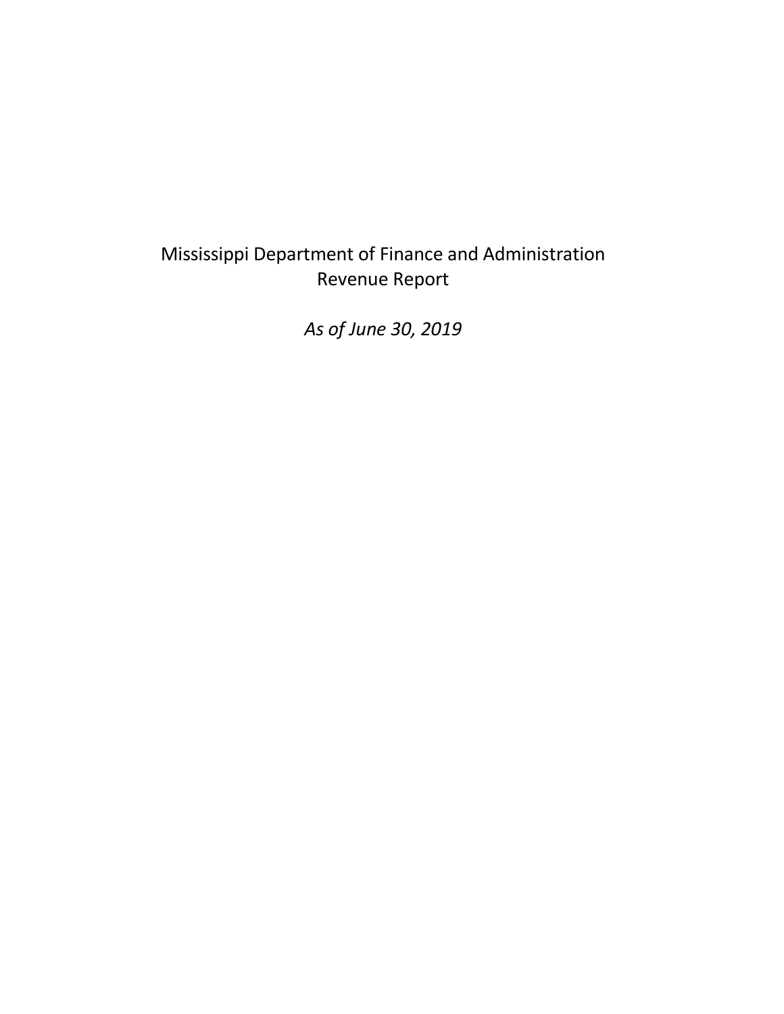# Mississippi Department of Finance and Administration Revenue Report

*As of June 30, 2019*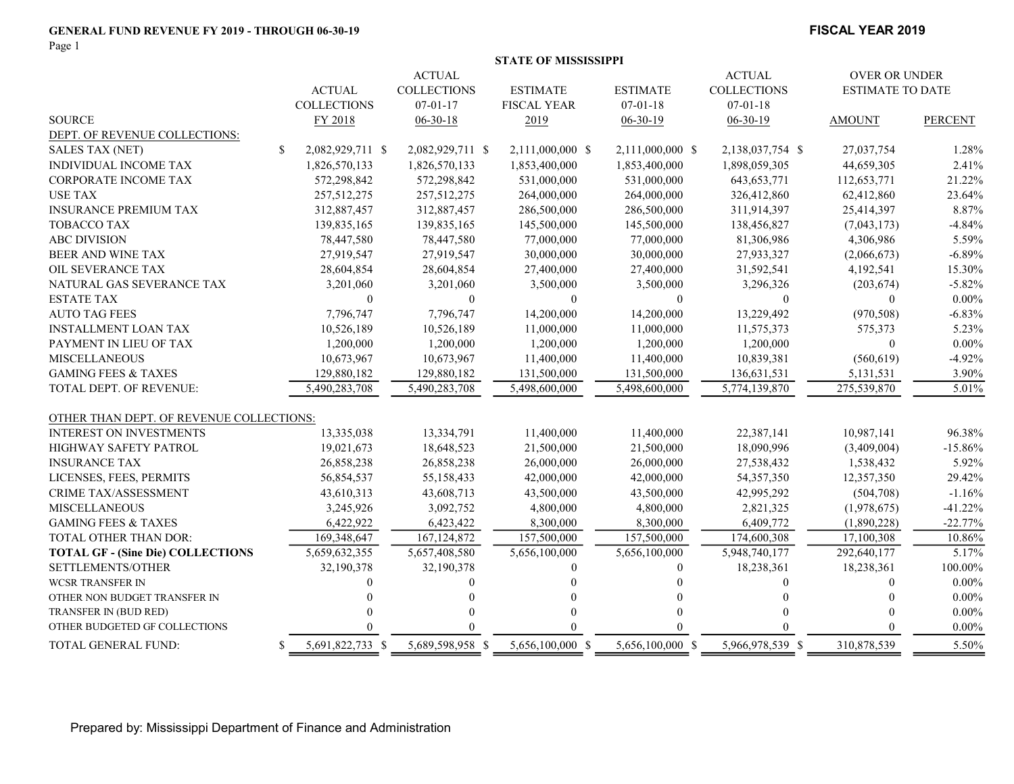#### GENERAL FUND REVENUE FY 2019 - THROUGH 06-30-19 FISCAL YEAR 2019

Page 1

|                                          |               |                    |                    | <b>STATE OF MISSISSIPPI</b> |                  |                    |                         |                |
|------------------------------------------|---------------|--------------------|--------------------|-----------------------------|------------------|--------------------|-------------------------|----------------|
|                                          |               |                    | <b>ACTUAL</b>      |                             |                  | <b>ACTUAL</b>      | <b>OVER OR UNDER</b>    |                |
|                                          |               | <b>ACTUAL</b>      | <b>COLLECTIONS</b> | <b>ESTIMATE</b>             | <b>ESTIMATE</b>  | <b>COLLECTIONS</b> | <b>ESTIMATE TO DATE</b> |                |
|                                          |               | <b>COLLECTIONS</b> | $07 - 01 - 17$     | <b>FISCAL YEAR</b>          | $07 - 01 - 18$   | $07 - 01 - 18$     |                         |                |
| <b>SOURCE</b>                            |               | FY 2018            | $06 - 30 - 18$     | 2019                        | $06-30-19$       | $06-30-19$         | <b>AMOUNT</b>           | <b>PERCENT</b> |
| DEPT. OF REVENUE COLLECTIONS:            |               |                    |                    |                             |                  |                    |                         |                |
| <b>SALES TAX (NET)</b>                   | <sup>\$</sup> | 2,082,929,711 \$   | 2,082,929,711 \$   | 2,111,000,000 \$            | 2,111,000,000 \$ | 2,138,037,754 \$   | 27,037,754              | 1.28%          |
| <b>INDIVIDUAL INCOME TAX</b>             |               | 1,826,570,133      | 1,826,570,133      | 1,853,400,000               | 1,853,400,000    | 1,898,059,305      | 44,659,305              | 2.41%          |
| <b>CORPORATE INCOME TAX</b>              |               | 572,298,842        | 572,298,842        | 531,000,000                 | 531,000,000      | 643, 653, 771      | 112,653,771             | 21.22%         |
| <b>USE TAX</b>                           |               | 257,512,275        | 257,512,275        | 264,000,000                 | 264,000,000      | 326,412,860        | 62,412,860              | 23.64%         |
| <b>INSURANCE PREMIUM TAX</b>             |               | 312,887,457        | 312,887,457        | 286,500,000                 | 286,500,000      | 311,914,397        | 25,414,397              | 8.87%          |
| <b>TOBACCO TAX</b>                       |               | 139,835,165        | 139,835,165        | 145,500,000                 | 145,500,000      | 138,456,827        | (7,043,173)             | $-4.84%$       |
| <b>ABC DIVISION</b>                      |               | 78,447,580         | 78,447,580         | 77,000,000                  | 77,000,000       | 81,306,986         | 4,306,986               | 5.59%          |
| BEER AND WINE TAX                        |               | 27,919,547         | 27,919,547         | 30,000,000                  | 30,000,000       | 27,933,327         | (2,066,673)             | $-6.89%$       |
| OIL SEVERANCE TAX                        |               | 28,604,854         | 28,604,854         | 27,400,000                  | 27,400,000       | 31,592,541         | 4,192,541               | 15.30%         |
| NATURAL GAS SEVERANCE TAX                |               | 3,201,060          | 3,201,060          | 3,500,000                   | 3,500,000        | 3,296,326          | (203, 674)              | $-5.82%$       |
| <b>ESTATE TAX</b>                        |               | $\mathbf{0}$       | $\mathbf{0}$       | $\overline{0}$              | $\mathbf{0}$     | $\theta$           | $\overline{0}$          | $0.00\%$       |
| <b>AUTO TAG FEES</b>                     |               | 7,796,747          | 7,796,747          | 14,200,000                  | 14,200,000       | 13,229,492         | (970, 508)              | $-6.83%$       |
| <b>INSTALLMENT LOAN TAX</b>              |               | 10,526,189         | 10,526,189         | 11,000,000                  | 11,000,000       | 11,575,373         | 575,373                 | 5.23%          |
| PAYMENT IN LIEU OF TAX                   |               | 1,200,000          | 1,200,000          | 1,200,000                   | 1,200,000        | 1,200,000          | $\bf{0}$                | $0.00\%$       |
| <b>MISCELLANEOUS</b>                     |               | 10,673,967         | 10,673,967         | 11,400,000                  | 11,400,000       | 10,839,381         | (560, 619)              | $-4.92%$       |
| <b>GAMING FEES &amp; TAXES</b>           |               | 129,880,182        | 129,880,182        | 131,500,000                 | 131,500,000      | 136,631,531        | 5,131,531               | 3.90%          |
| TOTAL DEPT. OF REVENUE:                  |               | 5,490,283,708      | 5,490,283,708      | 5,498,600,000               | 5,498,600,000    | 5,774,139,870      | 275,539,870             | 5.01%          |
|                                          |               |                    |                    |                             |                  |                    |                         |                |
| OTHER THAN DEPT. OF REVENUE COLLECTIONS: |               |                    |                    |                             |                  |                    |                         |                |
| <b>INTEREST ON INVESTMENTS</b>           |               | 13,335,038         | 13,334,791         | 11,400,000                  | 11,400,000       | 22,387,141         | 10,987,141              | 96.38%         |
| <b>HIGHWAY SAFETY PATROL</b>             |               | 19,021,673         | 18,648,523         | 21,500,000                  | 21,500,000       | 18,090,996         | (3,409,004)             | $-15.86%$      |
| <b>INSURANCE TAX</b>                     |               | 26,858,238         | 26,858,238         | 26,000,000                  | 26,000,000       | 27,538,432         | 1,538,432               | 5.92%          |
| LICENSES, FEES, PERMITS                  |               | 56,854,537         | 55,158,433         | 42,000,000                  | 42,000,000       | 54,357,350         | 12,357,350              | 29.42%         |
| CRIME TAX/ASSESSMENT                     |               | 43,610,313         | 43,608,713         | 43,500,000                  | 43,500,000       | 42,995,292         | (504, 708)              | $-1.16%$       |
| <b>MISCELLANEOUS</b>                     |               | 3,245,926          | 3,092,752          | 4,800,000                   | 4,800,000        | 2,821,325          | (1,978,675)             | $-41.22%$      |
| <b>GAMING FEES &amp; TAXES</b>           |               | 6,422,922          | 6,423,422          | 8,300,000                   | 8,300,000        | 6,409,772          | (1,890,228)             | $-22.77%$      |
| TOTAL OTHER THAN DOR:                    |               | 169, 348, 647      | 167, 124, 872      | 157,500,000                 | 157,500,000      | 174,600,308        | 17,100,308              | 10.86%         |
| <b>TOTAL GF - (Sine Die) COLLECTIONS</b> |               | 5,659,632,355      | 5,657,408,580      | 5,656,100,000               | 5,656,100,000    | 5,948,740,177      | 292,640,177             | 5.17%          |
| SETTLEMENTS/OTHER                        |               | 32,190,378         | 32,190,378         | $\theta$                    | $\mathbf{0}$     | 18,238,361         | 18,238,361              | 100.00%        |
| <b>WCSR TRANSFER IN</b>                  |               | $\Omega$           | $\Omega$           |                             |                  | $\Omega$           | $\overline{0}$          | $0.00\%$       |
| OTHER NON BUDGET TRANSFER IN             |               |                    |                    |                             |                  |                    | $\Omega$                | $0.00\%$       |
| TRANSFER IN (BUD RED)                    |               |                    | $\Omega$           | $\Omega$                    |                  |                    | $\Omega$                | $0.00\%$       |
| OTHER BUDGETED GF COLLECTIONS            |               |                    |                    |                             |                  |                    | $\Omega$                | $0.00\%$       |
| <b>TOTAL GENERAL FUND:</b>               | \$.           | 5,691,822,733 \$   | 5,689,598,958 \$   | 5,656,100,000 \$            | 5,656,100,000 \$ | 5,966,978,539 \$   | 310,878,539             | 5.50%          |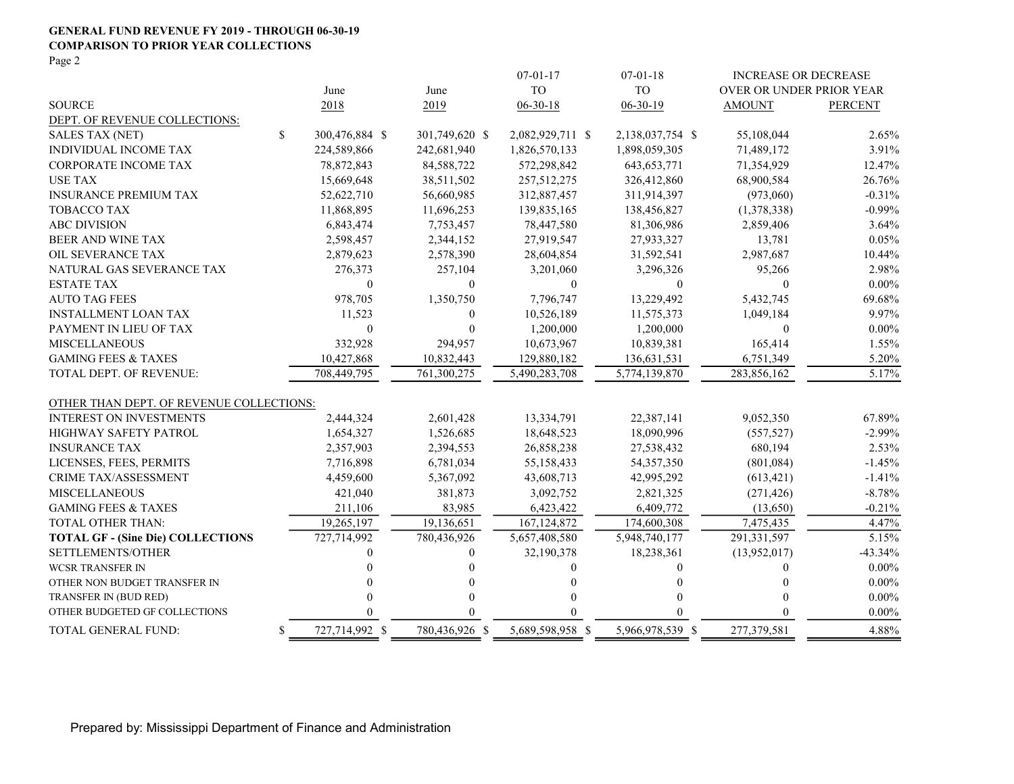#### GENERAL FUND REVENUE FY 2019 - THROUGH 06-30-19 COMPARISON TO PRIOR YEAR COLLECTIONS

Page 2

|                                          |                      |                | $07 - 01 - 17$   | $07 - 01 - 18$   | <b>INCREASE OR DECREASE</b> |                |
|------------------------------------------|----------------------|----------------|------------------|------------------|-----------------------------|----------------|
|                                          | June                 | June           | <b>TO</b>        | <b>TO</b>        | OVER OR UNDER PRIOR YEAR    |                |
| <b>SOURCE</b>                            | 2018                 | 2019           | $06 - 30 - 18$   | $06 - 30 - 19$   | <b>AMOUNT</b>               | <b>PERCENT</b> |
| DEPT. OF REVENUE COLLECTIONS:            |                      |                |                  |                  |                             |                |
| <b>SALES TAX (NET)</b>                   | \$<br>300,476,884 \$ | 301,749,620 \$ | 2,082,929,711 \$ | 2,138,037,754 \$ | 55,108,044                  | 2.65%          |
| INDIVIDUAL INCOME TAX                    | 224,589,866          | 242,681,940    | 1,826,570,133    | 1,898,059,305    | 71,489,172                  | 3.91%          |
| <b>CORPORATE INCOME TAX</b>              | 78,872,843           | 84,588,722     | 572,298,842      | 643, 653, 771    | 71,354,929                  | 12.47%         |
| <b>USE TAX</b>                           | 15,669,648           | 38,511,502     | 257,512,275      | 326,412,860      | 68,900,584                  | 26.76%         |
| <b>INSURANCE PREMIUM TAX</b>             | 52,622,710           | 56,660,985     | 312,887,457      | 311,914,397      | (973,060)                   | $-0.31%$       |
| <b>TOBACCO TAX</b>                       | 11,868,895           | 11,696,253     | 139,835,165      | 138,456,827      | (1,378,338)                 | $-0.99%$       |
| <b>ABC DIVISION</b>                      | 6,843,474            | 7,753,457      | 78,447,580       | 81,306,986       | 2,859,406                   | 3.64%          |
| BEER AND WINE TAX                        | 2,598,457            | 2,344,152      | 27,919,547       | 27,933,327       | 13,781                      | 0.05%          |
| OIL SEVERANCE TAX                        | 2,879,623            | 2,578,390      | 28,604,854       | 31,592,541       | 2,987,687                   | 10.44%         |
| NATURAL GAS SEVERANCE TAX                | 276,373              | 257,104        | 3,201,060        | 3,296,326        | 95,266                      | 2.98%          |
| <b>ESTATE TAX</b>                        | $\mathbf{0}$         | $\overline{0}$ | $\theta$         | $\mathbf{0}$     | $\theta$                    | $0.00\%$       |
| <b>AUTO TAG FEES</b>                     | 978,705              | 1,350,750      | 7,796,747        | 13,229,492       | 5,432,745                   | 69.68%         |
| <b>INSTALLMENT LOAN TAX</b>              | 11,523               | $\mathbf{0}$   | 10,526,189       | 11,575,373       | 1,049,184                   | 9.97%          |
| PAYMENT IN LIEU OF TAX                   | $\mathbf{0}$         | $\mathbf{0}$   | 1,200,000        | 1,200,000        | $\bf{0}$                    | $0.00\%$       |
| <b>MISCELLANEOUS</b>                     | 332,928              | 294,957        | 10,673,967       | 10,839,381       | 165,414                     | 1.55%          |
| <b>GAMING FEES &amp; TAXES</b>           | 10,427,868           | 10,832,443     | 129,880,182      | 136,631,531      | 6,751,349                   | 5.20%          |
| TOTAL DEPT. OF REVENUE:                  | 708,449,795          | 761,300,275    | 5,490,283,708    | 5,774,139,870    | 283,856,162                 | 5.17%          |
| OTHER THAN DEPT. OF REVENUE COLLECTIONS: |                      |                |                  |                  |                             |                |
| <b>INTEREST ON INVESTMENTS</b>           | 2,444,324            | 2,601,428      | 13,334,791       | 22,387,141       | 9,052,350                   | 67.89%         |
| HIGHWAY SAFETY PATROL                    | 1,654,327            | 1,526,685      | 18,648,523       | 18,090,996       | (557, 527)                  | $-2.99%$       |
| <b>INSURANCE TAX</b>                     | 2,357,903            | 2,394,553      | 26,858,238       | 27,538,432       | 680,194                     | 2.53%          |
| LICENSES, FEES, PERMITS                  | 7,716,898            | 6,781,034      | 55,158,433       | 54, 357, 350     | (801, 084)                  | $-1.45%$       |
| <b>CRIME TAX/ASSESSMENT</b>              | 4,459,600            | 5,367,092      | 43,608,713       | 42,995,292       | (613, 421)                  | $-1.41%$       |
| <b>MISCELLANEOUS</b>                     | 421,040              | 381,873        | 3,092,752        | 2,821,325        | (271, 426)                  | $-8.78%$       |
| <b>GAMING FEES &amp; TAXES</b>           | 211,106              | 83,985         | 6,423,422        | 6,409,772        | (13,650)                    | $-0.21%$       |
| <b>TOTAL OTHER THAN:</b>                 | 19,265,197           | 19,136,651     | 167, 124, 872    | 174,600,308      | 7,475,435                   | 4.47%          |
| <b>TOTAL GF - (Sine Die) COLLECTIONS</b> | 727,714,992          | 780,436,926    | 5,657,408,580    | 5,948,740,177    | 291,331,597                 | 5.15%          |
| SETTLEMENTS/OTHER                        |                      | $\Omega$       | 32,190,378       | 18,238,361       | (13,952,017)                | $-43.34%$      |
| <b>WCSR TRANSFER IN</b>                  |                      | $\Omega$       | 0                | 0                | 0                           | $0.00\%$       |
| OTHER NON BUDGET TRANSFER IN             |                      | 0              | 0                | 0                | $\Omega$                    | $0.00\%$       |
| TRANSFER IN (BUD RED)                    |                      | $\Omega$       | 0                | 0                | 0                           | $0.00\%$       |
| OTHER BUDGETED GF COLLECTIONS            |                      | 0              |                  | 0                | 0                           | $0.00\%$       |
| TOTAL GENERAL FUND:                      | \$<br>727,714,992 \$ | 780,436,926 \$ | 5,689,598,958 \$ | 5,966,978,539 \$ | 277,379,581                 | 4.88%          |